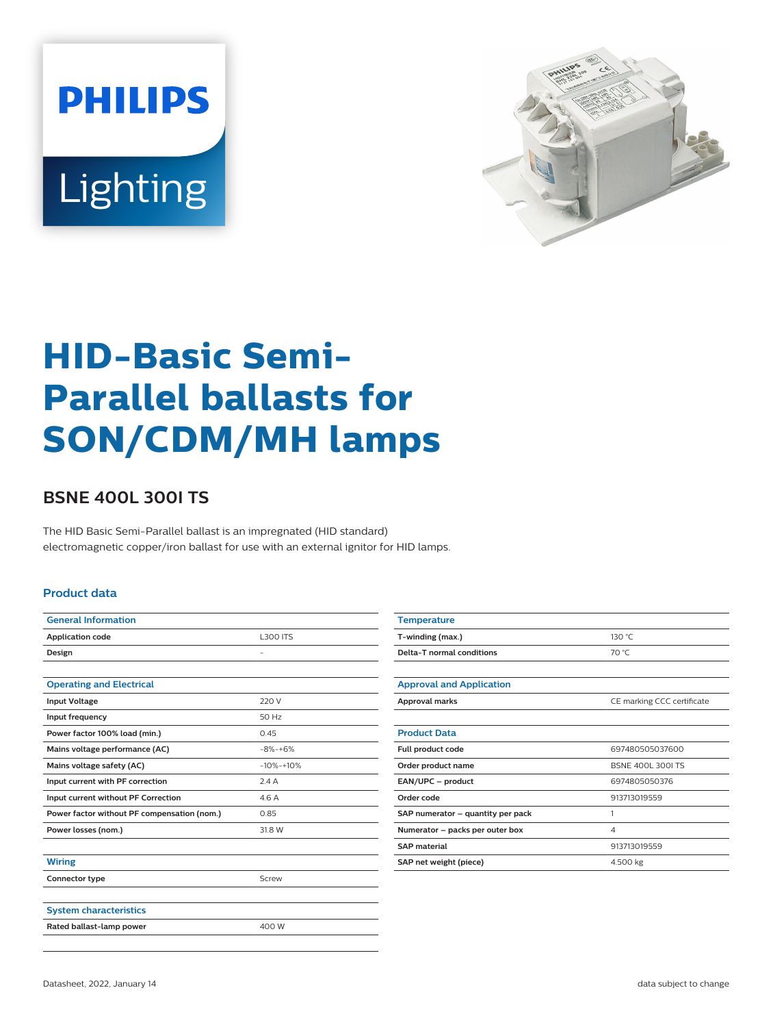



# **HID-Basic Semi-Parallel ballasts for SON/CDM/MH lamps**

## **BSNE 400L 300I TS**

The HID Basic Semi-Parallel ballast is an impregnated (HID standard) electromagnetic copper/iron ballast for use with an external ignitor for HID lamps.

#### **Product data**

| <b>General Information</b>                  |                 |  |
|---------------------------------------------|-----------------|--|
| <b>Application code</b>                     | <b>L300 ITS</b> |  |
| Design                                      |                 |  |
|                                             |                 |  |
| <b>Operating and Electrical</b>             |                 |  |
| <b>Input Voltage</b>                        | 220 V           |  |
| Input frequency                             | 50 Hz           |  |
| Power factor 100% load (min.)               | 0.45            |  |
| Mains voltage performance (AC)              | $-8% + 6%$      |  |
| Mains voltage safety (AC)                   | $-10% -10%$     |  |
| Input current with PF correction            | 2.4A            |  |
| Input current without PF Correction         | 4.6A            |  |
| Power factor without PF compensation (nom.) | 0.85            |  |
| Power losses (nom.)                         | 31.8 W          |  |
|                                             |                 |  |
| <b>Wiring</b>                               |                 |  |
| Connector type                              | Screw           |  |
|                                             |                 |  |
| <b>System characteristics</b>               |                 |  |
| Rated ballast-lamp power                    | 400 W           |  |
|                                             |                 |  |

| <b>Temperature</b>                |                            |  |  |
|-----------------------------------|----------------------------|--|--|
| T-winding (max.)                  | 130 °C                     |  |  |
| Delta-T normal conditions         | 70 °C                      |  |  |
|                                   |                            |  |  |
| <b>Approval and Application</b>   |                            |  |  |
| <b>Approval marks</b>             | CE marking CCC certificate |  |  |
|                                   |                            |  |  |
| <b>Product Data</b>               |                            |  |  |
| Full product code                 | 697480505037600            |  |  |
| Order product name                | <b>BSNE 400L 300LTS</b>    |  |  |
| EAN/UPC - product                 | 6974805050376              |  |  |
| Order code                        | 913713019559               |  |  |
| SAP numerator - quantity per pack | 1                          |  |  |
| Numerator - packs per outer box   | $\overline{4}$             |  |  |
| <b>SAP</b> material               | 913713019559               |  |  |
| SAP net weight (piece)            | 4.500 kg                   |  |  |
|                                   |                            |  |  |